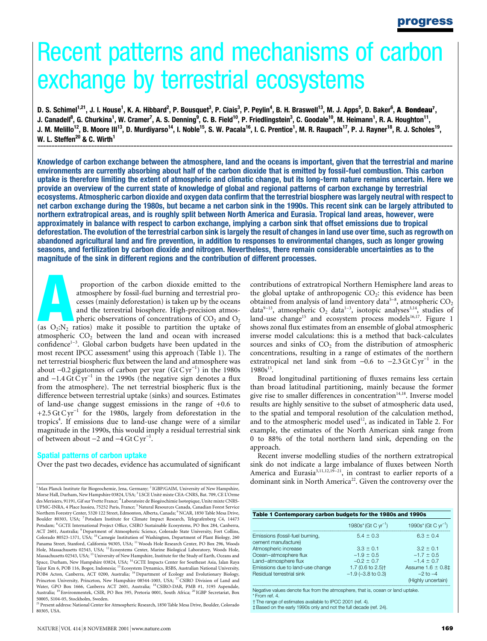# Recent patterns and mechanisms of carbon exchange by terrestrial ecosystems

D. S. Schimel<sup>1,21</sup>, J. I. House<sup>1</sup>, K. A. Hibbard<sup>2</sup>, P. Bousquet<sup>3</sup>, P. Ciais<sup>3</sup>, P. Peylin<sup>4</sup>, B. H. Braswell<sup>13</sup>, M. J. Apps<sup>5</sup>, D. Baker<sup>6</sup>, **A**. **Bondeau<sup>7</sup>,** J. Canadell<sup>8</sup>, G. Churkina<sup>1</sup>, W. Cramer<sup>7</sup>, A. S. Denning<sup>9</sup>, C. B. Field<sup>10</sup>, P. Friedlingstein<sup>3</sup>, C. Goodale<sup>10</sup>, M. Heimann<sup>1</sup>, R. A. Houghton<sup>11</sup>, J. M. Melillo<sup>12</sup>, B. Moore III<sup>13</sup>, D. Murdiyarso<sup>14</sup>, I. Noble<sup>15</sup>, S. W. Pacala<sup>16</sup>, I. C. Prentice<sup>1</sup>, M. R. Raupach<sup>17</sup>, P. J. Rayner<sup>18</sup>, R. J. Scholes<sup>19</sup>, W. L. Steffen<sup>20</sup> & C. Wirth<sup>1</sup> ............................................................................................................................................................................................................................................................................

Knowledge of carbon exchange between the atmosphere, land and the oceans is important, given that the terrestrial and marine environments are currently absorbing about half of the carbon dioxide that is emitted by fossil-fuel combustion. This carbon uptake is therefore limiting the extent of atmospheric and climatic change, but its long-term nature remains uncertain. Here we provide an overview of the current state of knowledge of global and regional patterns of carbon exchange by terrestrial ecosystems. Atmospheric carbon dioxide and oxygen data confirm that the terrestrial biosphere was largely neutral with respect to net carbon exchange during the 1980s, but became a net carbon sink in the 1990s. This recent sink can be largely attributed to northern extratropical areas, and is roughly split between North America and Eurasia. Tropical land areas, however, were approximately in balance with respect to carbon exchange, implying a carbon sink that offset emissions due to tropical deforestation. The evolution of the terrestrial carbon sink is largely the result of changes in land use over time, such as regrowth on abandoned agricultural land and fire prevention, in addition to responses to environmental changes, such as longer growing seasons, and fertilization by carbon dioxide and nitrogen. Nevertheless, there remain considerable uncertainties as to the magnitude of the sink in different regions and the contribution of different processes.

proportion of the carbon dioxide emitted to the<br>
atmosphere by fossil-fuel burning and terrestrial pro-<br>
cesses (mainly deforestation) is taken up by the oceans<br>
and the terrestrial biosphere. High-precision atmos-<br>
pheri atmosphere by fossil-fuel burning and terrestrial processes (mainly deforestation) is taken up by the oceans and the terrestrial biosphere. High-precision atmospheric observations of concentrations of  $CO<sub>2</sub>$  and  $O<sub>2</sub>$ atmospheric  $CO<sub>2</sub>$  between the land and ocean with increased confidence<sup>1-3</sup>. Global carbon budgets have been updated in the most recent IPCC assessment<sup>4</sup> using this approach (Table 1). The net terrestrial biospheric flux between the land and atmosphere was about  $-0.2$  gigatonnes of carbon per year (Gt C yr<sup>-1</sup>) in the 1980s and  $-1.4 \text{ Gt} \text{ Cyr}^{-1}$  in the 1990s (the negative sign denotes a flux from the atmosphere). The net terrestrial biospheric flux is the difference between terrestrial uptake (sinks) and sources. Estimates of land-use change suggest emissions in the range of +0.6 to +2.5 Gt C yr<sup>-1</sup> for the 1980s, largely from deforestation in the tropics<sup>4</sup>. If emissions due to land-use change were of a similar magnitude in the 1990s, this would imply a residual terrestrial sink of between about  $-2$  and  $-4$  Gt C yr<sup>-1</sup>.

### Spatial patterns of carbon uptake

Over the past two decades, evidence has accumulated of significant

 $1$  Max Planck Institute für Biogeochemie, Jena, Germany;  $2$ IGBP/GAIM, University of New Hampshire, Morse Hall, Durham, New Hampshire 03824, USA; <sup>3</sup> LSCE Unité mixte CEA-CNRS, Bat. 709, CE L'Orme des Merisiers, 91191, Gif sur Yvette France; <sup>4</sup> Laboratoire de Biogéochimie Isotopique, Unite mixte CNRS-<br>UPMC-INRA, 4 Place Jussieu, 75252 Paris, France; <sup>5</sup> Natural Resources Canada, Canadian Forest Service Northern Forestry Center, 5320 122 Street, Edmonton, Alberta, Canada; <sup>6</sup> NCAR, 1850 Table Mesa Drive, Boulder 80303, USA; <sup>7</sup> Potsdam Institute for Climate Impact Research, Telegrafenberg C4, 14473 Potsdam; <sup>8</sup> GCTE International Project Office, CSIRO Sustainable Ecosystems, PO Box 284, Canberra, ACT 2601, Australia; <sup>9</sup> Department of Atmospheric Science, Colorado State University, Fort Collins,<br>Colorado 80523-1371, USA; <sup>10</sup> Carnegie Institution of Washington, Department of Plant Biology, 260 Panama Street, Stanford, California 94305, USA; <sup>11</sup> Woods Hole Research Center, PO Box 296, Woods Hole, Massachusetts 02543, USA; <sup>12</sup> Ecosystems Center, Marine Biological Laboratory, Woods Hole, Massachusetts 02543, USA; <sup>13</sup> University of New Hampshire, Institute for the Study of Earth, Oceans and Space, Durham, New Hampshire 03824, USA; <sup>14</sup> GCTE Impacts Center for Southeast Asia, Jalan Raya Tajur Km 6, POB 116, Bogor, Indonesia; <sup>15</sup> Ecosystem Dynamics, RSBS, Australian National University,<br>POB4 Acton, Canberra, ACT 0200, Australia; <sup>16</sup> Department of Ecology and Evolutionary Biology,<br>Princeton University, Pr Water, GPO Box 1666, Canberra ACT 2601, Australia; <sup>18</sup> CSIRO-DAR, PMB #1, 3195 Aspendale, Australia; <sup>19</sup> Environmentek, CSIR, PO Box 395, Pretoria 0001, South Africa; <sup>20</sup> IGBP Secretariat, Box 50005, S104-05, Stockholm, Sweden.

<sup>21</sup> Present address: National Center for Atmospheric Research, 1850 Table Mesa Drive, Boulder, Colorado 80305, USA.

contributions of extratropical Northern Hemisphere land areas to the global uptake of anthropogenic  $CO<sub>2</sub>$ : this evidence has been obtained from analysis of land inventory data<sup>5-8</sup>, atmospheric  $CO<sub>2</sub>$ data<sup>9-13</sup>, atmospheric O<sub>2</sub> data<sup>1-3</sup>, isotopic analyses<sup>3,14</sup>, studies of land-use change<sup>15</sup> and ecosystem process models<sup>16,17</sup>. Figure 1 shows zonal flux estimates from an ensemble of global atmospheric inverse model calculations: this is a method that back-calculates sources and sinks of  $CO<sub>2</sub>$  from the distribution of atmospheric concentrations, resulting in a range of estimates of the northern extratropical net land sink from  $-0.6$  to  $-2.3$  Gt C yr<sup>-1</sup> in the  $1980s^{13}$ .

Broad longitudinal partitioning of fluxes remains less certain than broad latitudinal partitioning, mainly because the former give rise to smaller differences in concentration<sup>14,18</sup>. Inverse model results are highly sensitive to the subset of atmospheric data used, to the spatial and temporal resolution of the calculation method, and to the atmospheric model used<sup>12</sup>, as indicated in Table 2. For example, the estimates of the North American sink range from 0 to 88% of the total northern land sink, depending on the approach.

Recent inverse modelling studies of the northern extratropical sink do not indicate a large imbalance of fluxes between North America and Eurasia<sup>3,11,12,19-21</sup>, in contrast to earlier reports of a dominant sink in North America<sup>22</sup>. Given the controversy over the

| Table 1 Contemporary carbon budgets for the 1980s and 1990s |                                    |  |  |  |  |  |  |  |
|-------------------------------------------------------------|------------------------------------|--|--|--|--|--|--|--|
| 1980s* (Gt C $yr^{-1}$ )                                    | 1990s* (Gt C $yr^{-1}$ )           |  |  |  |  |  |  |  |
| $54 + 03$                                                   | $6.3 \pm 0.4$                      |  |  |  |  |  |  |  |
| $3.3 \pm 0.1$                                               | $3.2 \pm 0.1$                      |  |  |  |  |  |  |  |
| $-1.9 \pm 0.5$                                              | $-1.7 \pm 0.5$                     |  |  |  |  |  |  |  |
| $-0.2 \pm 0.7$                                              | $-14+07$                           |  |  |  |  |  |  |  |
| 1.7 (0.6 to 2.5) <sup>+</sup>                               | Assume $1.6 \pm 0.8$ ‡             |  |  |  |  |  |  |  |
| $-1.9$ ( $-3.8$ to 0.3)                                     | $-2$ to $-4$<br>(Highly uncertain) |  |  |  |  |  |  |  |
|                                                             |                                    |  |  |  |  |  |  |  |

Negative values denote flux from the atmosphere, that is, ocean or land uptake.

\* From ref. 4.

 $\dagger$  The range of estimates available to IPCC 2001 (ref. 4).

³ Based on the early 1990s only and not the full decade (ref. 24).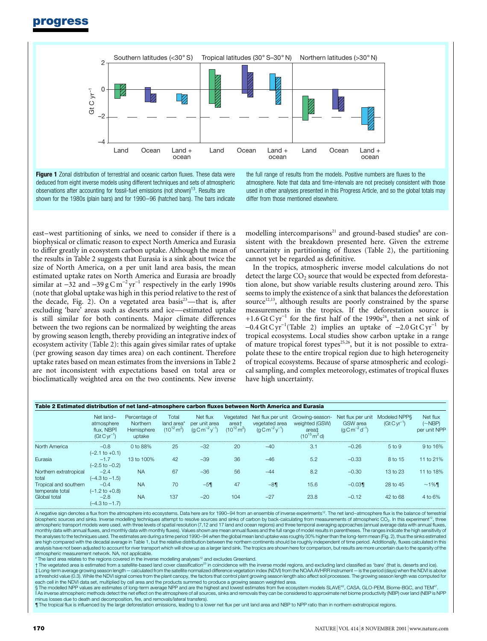progress



Figure 1 Zonal distribution of terrestrial and oceanic carbon fluxes. These data were deduced from eight inverse models using different techniques and sets of atmospheric observations after accounting for fossil-fuel emissions (not shown)<sup>13</sup>. Results are shown for the 1980s (plain bars) and for 1990-96 (hatched bars). The bars indicate

the full range of results from the models. Positive numbers are fluxes to the atmosphere. Note that data and time-intervals are not precisely consistent with those used in other analyses presented in this Progress Article, and so the global totals may differ from those mentioned elsewhere.

east-west partitioning of sinks, we need to consider if there is a biophysical or climatic reason to expect North America and Eurasia to differ greatly in ecosystem carbon uptake. Although the mean of the results in Table 2 suggests that Eurasia is a sink about twice the size of North America, on a per unit land area basis, the mean estimated uptake rates on North America and Eurasia are broadly similar at  $-32$  and  $-39$  g C m<sup>-2</sup> yr<sup>-1</sup> respectively in the early 1990s (note that global uptake was high in this period relative to the rest of the decade, Fig. 2). On a vegetated area basis $23$ —that is, after excluding 'bare' areas such as deserts and ice—estimated uptake is still similar for both continents. Major climate differences between the two regions can be normalized by weighting the areas by growing season length, thereby providing an integrative index of ecosystem activity (Table 2): this again gives similar rates of uptake (per growing season day times area) on each continent. Therefore uptake rates based on mean estimates from the inversions in Table 2 are not inconsistent with expectations based on total area or bioclimatically weighted area on the two continents. New inverse

modelling intercomparisons<sup>21</sup> and ground-based studies<sup>8</sup> are consistent with the breakdown presented here. Given the extreme uncertainty in partitioning of fluxes (Table 2), the partitioning cannot yet be regarded as definitive.

In the tropics, atmospheric inverse model calculations do not detect the large  $CO<sub>2</sub>$  source that would be expected from deforestation alone, but show variable results clustering around zero. This seems to imply the existence of a sink that balances the deforestation source $12,13$ , although results are poorly constrained by the sparse measurements in the tropics. If the deforestation source is +1.6 Gt C yr<sup>-1</sup> for the first half of the 1990s<sup>24</sup>, then a net sink of  $-0.4$  Gt C yr<sup>-1</sup> (Table 2) implies an uptake of  $-2.0$  Gt C yr<sup>-1</sup> by tropical ecosystems. Local studies show carbon uptake in a range of mature tropical forest types<sup>25,26</sup>, but it is not possible to extrapolate these to the entire tropical region due to high heterogeneity of tropical ecosystems. Because of sparse atmospheric and ecological sampling, and complex meteorology, estimates of tropical fluxes have high uncertainty.

| Table 2 Estimated distribution of net land-atmosphere carbon fluxes between North America and Eurasia |                                                          |                                                   |                                               |                                                                   |                                               |                                                                             |                                                                                             |                                                                             |                                 |                                          |  |
|-------------------------------------------------------------------------------------------------------|----------------------------------------------------------|---------------------------------------------------|-----------------------------------------------|-------------------------------------------------------------------|-----------------------------------------------|-----------------------------------------------------------------------------|---------------------------------------------------------------------------------------------|-----------------------------------------------------------------------------|---------------------------------|------------------------------------------|--|
|                                                                                                       | Net land-<br>atmosphere<br>flux. NBPI<br>$(Gt Cyr^{-1})$ | Percentage of<br>Northern<br>Hemisphere<br>uptake | Total<br>land area*<br>$(10^{12} \text{m}^2)$ | Net flux<br>per unit area<br>$(a \text{ cm}^{-2} \text{ v}^{-1})$ | Vegetated<br>area†<br>$(10^{12} \text{ m}^2)$ | Net flux per unit<br>vegetated area<br>$(a \text{ C m}^{-2} \text{V}^{-1})$ | Growing-season-<br>weighted (GSW)<br>area <sup>+</sup><br>$(10^{15} \text{ m}^2 \text{ d})$ | Net flux per unit<br><b>GSW</b> area<br>$(q \text{C m}^{-2} \text{d}^{-1})$ | Modeled NPPS<br>$(Gt Cyr^{-1})$ | Net flux<br>$(\sim$ NBP)<br>per unit NPP |  |
| North America                                                                                         | $-0.8$<br>$(-2.1 \text{ to } +0.1)$                      | 0 to 88%                                          | 25                                            | $-32$                                                             | 20                                            | $-40$                                                                       | 3.1                                                                                         | $-0.26$                                                                     | 5 to 9                          | $9$ to 16%                               |  |
| Eurasia                                                                                               | $-1.7$<br>$(-2.5 \text{ to } -0.2)$                      | 13 to 100%                                        | 42                                            | $-39$                                                             | 36                                            | $-46$                                                                       | 5.2                                                                                         | $-0.33$                                                                     | 8 to 15                         | 11 to 21%                                |  |
| Northern extratropical<br>total                                                                       | $-2.4$<br>$(-4.3 \text{ to } -1.5)$                      | <b>NA</b>                                         | 67                                            | $-36$                                                             | 56                                            | $-44$                                                                       | 8.2                                                                                         | $-0.30$                                                                     | 13 to 23                        | 11 to 18%                                |  |
| Tropical and southern<br>temperate total                                                              | $-0.4$<br>$(-1.2$ to $+0.8)$                             | <b>NA</b>                                         | 70                                            | $-5$ ¶                                                            | 47                                            | $-8$                                                                        | 15.6                                                                                        | $-0.03$                                                                     | 28 to 45                        | $~1\%$ ¶                                 |  |
| Global total                                                                                          | $-2.8$<br>$(-4.3 \text{ to } -1.7)$                      | <b>NA</b>                                         | 137                                           | $-20$                                                             | 104                                           | $-27$                                                                       | 23.8                                                                                        | $-0.12$                                                                     | 42 to 68                        | 4 to 6%                                  |  |

............................................................................................................................................................................................................................................................................................................................................................... A negative sign denotes a ¯ux from the atmosphere into ecosystems. Data here are for 1990±94 from an ensemble of inverse experiments12. The net land±atmosphere ¯ux is the balance of terrestrial biospheric sources and sinks. Inverse modelling techniques attempt to resolve sources and sinks of carbon by back-calculating from measurements of atmospheric CO<sub>2</sub>. In this experiment<sup>12</sup>, three atmospheric transport models were used, with three levels of spatial resolution (7,12 and 17 land and ocean regions) and three temporal averaging approaches (annual average data with annual fluxes monthly data with annual fluxes, and monthly data with monthly fluxes). Values shown are mean annual fluxes and the full range of model results in parentheses. The ranges indicate the high sensitivity of<br>the analyses to th are high compared with the decadal average in Table 1, but the relative distribution between the northern continents should be roughly independent of time period. Additionally, fluxes calculated in this analysis have not been adjusted to account for river transport which will show up as a larger land sink. The tropics are shown here for comparison, but results are more uncertain due to the sparsity of the atmospheric measurement network. NA, not applicable.

 $^*$  The land area relates to the regions covered in the inverse modelling analyses<sup>12</sup> and excludes Greenland.

The vegetated area is estimated from a satellite-based land cover classification<sup>23</sup> in coincidence with the inverse model regions, and excluding land classified as 'bare' (that is, deserts and ice). the system average growing season length — calculated from the satellite normalized difference vegetation index (NDVI) from the NOAA AVHR instrument—is the period (days) when the NDVI is above the NDVI is above the NDVI i a threshold value (0.3). While the NDVI signal comes from the plant canopy, the factors that control plant growing season length also affect soil processes. The growing season length was computed for

each cell in the NDVI data set, multiplied by cell area and the products summed to produce a growing season weighted area.<br>§ The modelled NPP values are estimates of long-term average NPP and are the highest and lowest est  $\|$ As inverse atmospheric methods detect the net effect on the atmosphere of all sources, sinks and removals they can be considered to approximate net biome productivity (NBP) over land (NBP is NPP minus losses due to death and decomposition, fire, and removals/lateral transfers).

The tropical flux is influenced by the large deforestation emissions, leading to a lower net flux per unit land area and NBP to NPP ratio than in northern extratropical regions.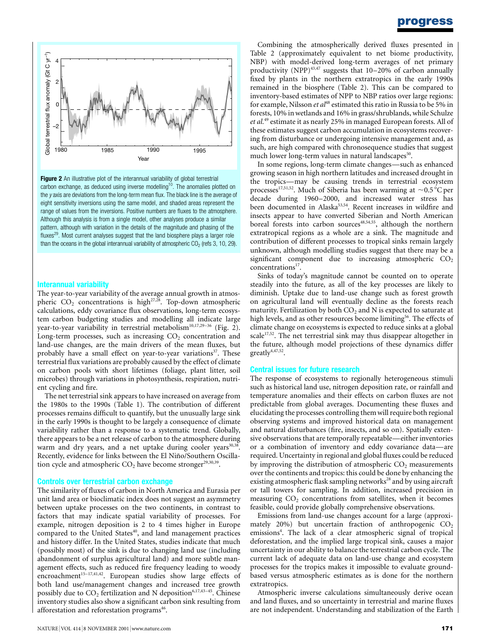

Figure 2 An illustrative plot of the interannual variability of global terrestrial carbon exchange, as deduced using inverse modelling<sup>10</sup>. The anomalies plotted on the  $y$  axis are deviations from the long-term mean flux. The black line is the average of eight sensitivity inversions using the same model, and shaded areas represent the range of values from the inversions. Positive numbers are fluxes to the atmosphere. Although this analysis is from a single model, other analyses produce a similar pattern, although with variation in the details of the magnitude and phasing of the fluxes<sup>29</sup>. Most current analyses suggest that the land biosphere plays a larger role than the oceans in the global interannual variability of atmospheric  $CO<sub>2</sub>$  (refs 3, 10, 29).

## Interannual variability

The year-to-year variability of the average annual growth in atmospheric  $CO_2$  concentrations is high<sup>27,28</sup>. Top-down atmospheric calculations, eddy covariance flux observations, long-term ecosystem carbon budgeting studies and modelling all indicate large year-to-year variability in terrestrial metabolism<sup>10,17,29-36</sup> (Fig. 2). Long-term processes, such as increasing  $CO<sub>2</sub>$  concentration and land-use changes, are the main drivers of the mean fluxes, but probably have a small effect on year-to-year variations<sup>37</sup>. These terrestrial flux variations are probably caused by the effect of climate on carbon pools with short lifetimes (foliage, plant litter, soil microbes) through variations in photosynthesis, respiration, nutrient cycling and fire.

The net terrestrial sink appears to have increased on average from the 1980s to the 1990s (Table 1). The contribution of different processes remains difficult to quantify, but the unusually large sink in the early 1990s is thought to be largely a consequence of climate variability rather than a response to a systematic trend. Globally, there appears to be a net release of carbon to the atmosphere during warm and dry years, and a net uptake during cooler years<sup>30,38</sup>. Recently, evidence for links between the El Niño/Southern Oscillation cycle and atmospheric  $CO<sub>2</sub>$  have become stronger<sup>29,30,39</sup>.

## Controls over terrestrial carbon exchange

The similarity of fluxes of carbon in North America and Eurasia per unit land area or bioclimatic index does not suggest an asymmetry between uptake processes on the two continents, in contrast to factors that may indicate spatial variability of processes. For example, nitrogen deposition is 2 to 4 times higher in Europe compared to the United States<sup>40</sup>, and land management practices and history differ. In the United States, studies indicate that much (possibly most) of the sink is due to changing land use (including abandonment of surplus agricultural land) and more subtle management effects, such as reduced fire frequency leading to woody encroachment<sup>15-17,41,42</sup>. European studies show large effects of both land use/management changes and increased tree growth possibly due to  $CO_2$  fertilization and N deposition<sup>6,17,43-45</sup>. Chinese inventory studies also show a significant carbon sink resulting from afforestation and reforestation programs<sup>46</sup>.

## progress

Combining the atmospherically derived fluxes presented in Table 2 (approximately equivalent to net biome productivity, NBP) with model-derived long-term averages of net primary productivity (NPP) $43,47$  suggests that 10–20% of carbon annually fixed by plants in the northern extratropics in the early 1990s remained in the biosphere (Table 2). This can be compared to inventory-based estimates of NPP to NBP ratios over large regions: for example, Nilsson *et al*<sup>48</sup> estimated this ratio in Russia to be 5% in forests, 10% in wetlands and 16% in grass/shrublands, while Schulze et al.<sup>49</sup> estimate it as nearly 25% in managed European forests. All of these estimates suggest carbon accumulation in ecosystems recovering from disturbance or undergoing intensive management and, as such, are high compared with chronosequence studies that suggest much lower long-term values in natural landscapes $50$ .

In some regions, long-term climate changes—such as enhanced growing season in high northern latitudes and increased drought in the tropics—may be causing trends in terrestrial ecosystem processes<sup>17,51,52</sup>. Much of Siberia has been warming at  $\sim 0.5 \degree C$  per decade during 1960-2000, and increased water stress has been documented in Alaska<sup>53,54</sup>. Recent increases in wildfire and insects appear to have converted Siberian and North American boreal forests into carbon sources<sup>48,54,55</sup>, although the northern extratropical regions as a whole are a sink. The magnitude and contribution of different processes to tropical sinks remain largely unknown, although modelling studies suggest that there may be a significant component due to increasing atmospheric  $CO<sub>2</sub>$ concentrations<sup>17</sup>.

Sinks of today's magnitude cannot be counted on to operate steadily into the future, as all of the key processes are likely to diminish. Uptake due to land-use change such as forest growth on agricultural land will eventually decline as the forests reach maturity. Fertilization by both  $CO<sub>2</sub>$  and N is expected to saturate at high levels, and as other resources become limiting<sup>56</sup>. The effects of climate change on ecosystems is expected to reduce sinks at a global scale<sup>17,52</sup>. The net terrestrial sink may thus disappear altogether in the future, although model projections of these dynamics differ greatly4,47,52.

## Central issues for future research

The response of ecosystems to regionally heterogeneous stimuli such as historical land use, nitrogen deposition rate, or rainfall and temperature anomalies and their effects on carbon fluxes are not predictable from global averages. Documenting these fluxes and elucidating the processes controlling them will require both regional observing systems and improved historical data on management and natural disturbances (fire, insects, and so on). Spatially extensive observations that are temporally repeatable—either inventories or a combination of inventory and eddy covariance data—are required. Uncertainty in regional and global fluxes could be reduced by improving the distribution of atmospheric  $CO<sub>2</sub>$  measurements over the continents and tropics: this could be done by enhancing the existing atmospheric flask sampling networks<sup>28</sup> and by using aircraft or tall towers for sampling. In addition, increased precision in measuring  $CO<sub>2</sub>$  concentrations from satellites, when it becomes feasible, could provide globally comprehensive observations. NATURE TRANSPORT (SEE THE CONFERENCE INTERFERENCE INTERFERENCE INTERFERENCE INTERFERENCE INTERFERENCE INTERFERENCE INTERFERENCE INTERFERENCE INTERFERENCE INTERFERENCE INTERFERENCE INTERFERENCE INTERFERENCE INTERFERENCE I

Emissions from land-use changes account for a large (approximately 20%) but uncertain fraction of anthropogenic  $CO<sub>2</sub>$ emissions<sup>4</sup>. The lack of a clear atmospheric signal of tropical deforestation, and the implied large tropical sink, causes a major uncertainty in our ability to balance the terrestrial carbon cycle. The current lack of adequate data on land-use change and ecosystem processes for the tropics makes it impossible to evaluate groundbased versus atmospheric estimates as is done for the northern extratropics.

Atmospheric inverse calculations simultaneously derive ocean and land fluxes, and so uncertainty in terrestrial and marine fluxes are not independent. Understanding and stabilization of the Earth